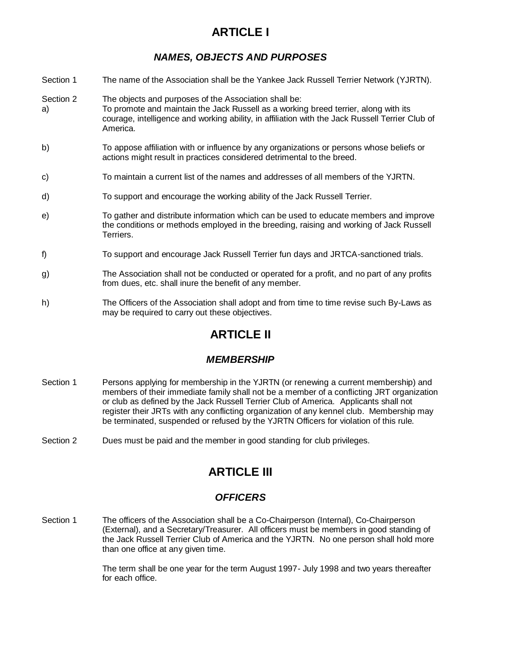# **ARTICLE I**

### *NAMES, OBJECTS AND PURPOSES*

- Section 1 The name of the Association shall be the Yankee Jack Russell Terrier Network (YJRTN).
- Section 2 The objects and purposes of the Association shall be: a) To promote and maintain the Jack Russell as a working breed terrier, along with its courage, intelligence and working ability, in affiliation with the Jack Russell Terrier Club of America.
- b) To appose affiliation with or influence by any organizations or persons whose beliefs or actions might result in practices considered detrimental to the breed.
- c) To maintain a current list of the names and addresses of all members of the YJRTN.
- d) To support and encourage the working ability of the Jack Russell Terrier.
- e) To gather and distribute information which can be used to educate members and improve the conditions or methods employed in the breeding, raising and working of Jack Russell Terriers.
- f) To support and encourage Jack Russell Terrier fun days and JRTCA-sanctioned trials.
- g) The Association shall not be conducted or operated for a profit, and no part of any profits from dues, etc. shall inure the benefit of any member.
- h) The Officers of the Association shall adopt and from time to time revise such By-Laws as may be required to carry out these objectives.

# **ARTICLE II**

### *MEMBERSHIP*

- Section 1 Persons applying for membership in the YJRTN (or renewing a current membership) and members of their immediate family shall not be a member of a conflicting JRT organization or club as defined by the Jack Russell Terrier Club of America. Applicants shall not register their JRTs with any conflicting organization of any kennel club. Membership may be terminated, suspended or refused by the YJRTN Officers for violation of this rule.
- Section 2 Dues must be paid and the member in good standing for club privileges.

## **ARTICLE III**

#### *OFFICERS*

Section 1 The officers of the Association shall be a Co-Chairperson (Internal), Co-Chairperson (External), and a Secretary/Treasurer. All officers must be members in good standing of the Jack Russell Terrier Club of America and the YJRTN. No one person shall hold more than one office at any given time.

> The term shall be one year for the term August 1997- July 1998 and two years thereafter for each office.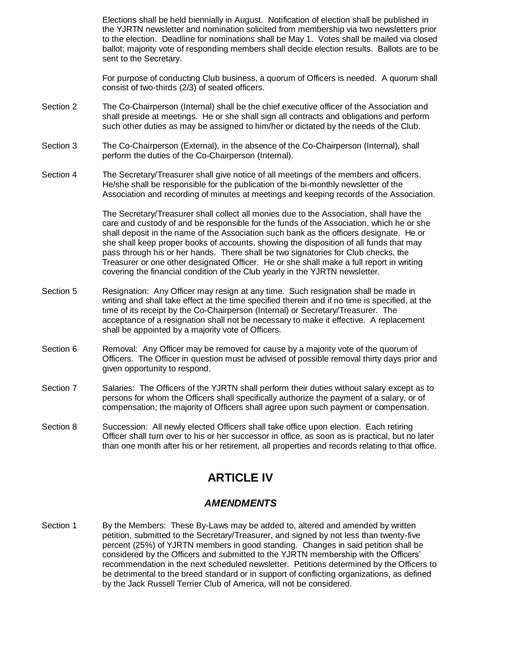Elections shall be held biennially in August. Notification of election shall be published in the YJRTN newsletter and nomination solicited from membership via two newsletters prior to the election. Deadline for nominations shall be May 1. Votes shall be mailed via closed ballot; majority vote of responding members shall decide election results. Ballots are to be sent to the Secretary.

For purpose of conducting Club business, a quorum of Officers is needed. A quorum shall consist of two-thirds (2/3) of seated officers.

- Section 2 The Co-Chairperson (Internal) shall be the chief executive officer of the Association and shall preside at meetings. He or she shall sign all contracts and obligations and perform such other duties as may be assigned to him/her or dictated by the needs of the Club.
- Section 3 The Co-Chairperson (External), in the absence of the Co-Chairperson (Internal), shall perform the duties of the Co-Chairperson (Internal).
- Section 4 The Secretary/Treasurer shall give notice of all meetings of the members and officers. He/she shall be responsible for the publication of the bi-monthly newsletter of the Association and recording of minutes at meetings and keeping records of the Association.

The Secretary/Treasurer shall collect all monies due to the Association, shall have the care and custody of and be responsible for the funds of the Association, which he or she shall deposit in the name of the Association such bank as the officers designate. He or she shall keep proper books of accounts, showing the disposition of all funds that may pass through his or her hands. There shall be two signatories for Club checks, the Treasurer or one other designated Officer. He or she shall make a full report in writing covering the financial condition of the Club yearly in the YJRTN newsletter.

- Section 5 Resignation: Any Officer may resign at any time. Such resignation shall be made in writing and shall take effect at the time specified therein and if no time is specified, at the time of its receipt by the Co-Chairperson (Internal) or Secretary/Treasurer. The acceptance of a resignation shall not be necessary to make it effective. A replacement shall be appointed by a majority vote of Officers.
- Section 6 Removal: Any Officer may be removed for cause by a majority vote of the quorum of Officers. The Officer in question must be advised of possible removal thirty days prior and given opportunity to respond.
- Section 7 Salaries: The Officers of the YJRTN shall perform their duties without salary except as to persons for whom the Officers shall specifically authorize the payment of a salary, or of compensation; the majority of Officers shall agree upon such payment or compensation.
- Section 8 Succession: All newly elected Officers shall take office upon election. Each retiring Officer shall turn over to his or her successor in office, as soon as is practical, but no later than one month after his or her retirement, all properties and records relating to that office.

# **ARTICLE IV**

### *AMENDMENTS*

Section 1 By the Members: These By-Laws may be added to, altered and amended by written petition, submitted to the Secretary/Treasurer, and signed by not less than twenty-five percent (25%) of YJRTN members in good standing. Changes in said petition shall be considered by the Officers and submitted to the YJRTN membership with the Officers' recommendation in the next scheduled newsletter. Petitions determined by the Officers to be detrimental to the breed standard or in support of conflicting organizations, as defined by the Jack Russell Terrier Club of America, will not be considered.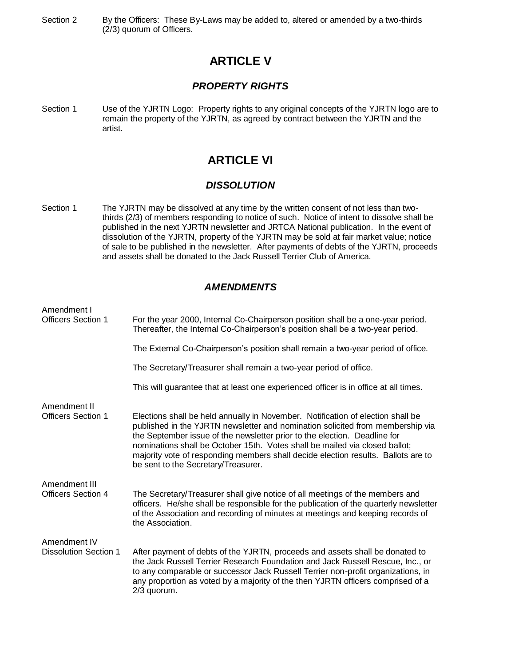Section 2 By the Officers: These By-Laws may be added to, altered or amended by a two-thirds (2/3) quorum of Officers.

### **ARTICLE V**

#### *PROPERTY RIGHTS*

Section 1 Use of the YJRTN Logo: Property rights to any original concepts of the YJRTN logo are to remain the property of the YJRTN, as agreed by contract between the YJRTN and the artist.

## **ARTICLE VI**

#### *DISSOLUTION*

Section 1 The YJRTN may be dissolved at any time by the written consent of not less than twothirds (2/3) of members responding to notice of such. Notice of intent to dissolve shall be published in the next YJRTN newsletter and JRTCA National publication. In the event of dissolution of the YJRTN, property of the YJRTN may be sold at fair market value; notice of sale to be published in the newsletter. After payments of debts of the YJRTN, proceeds and assets shall be donated to the Jack Russell Terrier Club of America.

#### *AMENDMENTS*

| Amendment I<br><b>Officers Section 1</b>     | For the year 2000, Internal Co-Chairperson position shall be a one-year period.<br>Thereafter, the Internal Co-Chairperson's position shall be a two-year period.                                                                                                                                                                                                                                                                                         |
|----------------------------------------------|-----------------------------------------------------------------------------------------------------------------------------------------------------------------------------------------------------------------------------------------------------------------------------------------------------------------------------------------------------------------------------------------------------------------------------------------------------------|
|                                              | The External Co-Chairperson's position shall remain a two-year period of office.                                                                                                                                                                                                                                                                                                                                                                          |
|                                              | The Secretary/Treasurer shall remain a two-year period of office.                                                                                                                                                                                                                                                                                                                                                                                         |
|                                              | This will guarantee that at least one experienced officer is in office at all times.                                                                                                                                                                                                                                                                                                                                                                      |
| Amendment II<br><b>Officers Section 1</b>    | Elections shall be held annually in November. Notification of election shall be<br>published in the YJRTN newsletter and nomination solicited from membership via<br>the September issue of the newsletter prior to the election. Deadline for<br>nominations shall be October 15th. Votes shall be mailed via closed ballot;<br>majority vote of responding members shall decide election results. Ballots are to<br>be sent to the Secretary/Treasurer. |
| Amendment III<br><b>Officers Section 4</b>   | The Secretary/Treasurer shall give notice of all meetings of the members and<br>officers. He/she shall be responsible for the publication of the quarterly newsletter<br>of the Association and recording of minutes at meetings and keeping records of<br>the Association.                                                                                                                                                                               |
| Amendment IV<br><b>Dissolution Section 1</b> | After payment of debts of the YJRTN, proceeds and assets shall be donated to<br>the Jack Russell Terrier Research Foundation and Jack Russell Rescue, Inc., or<br>to any comparable or successor Jack Russell Terrier non-profit organizations, in<br>any proportion as voted by a majority of the then YJRTN officers comprised of a<br>$2/3$ quorum.                                                                                                    |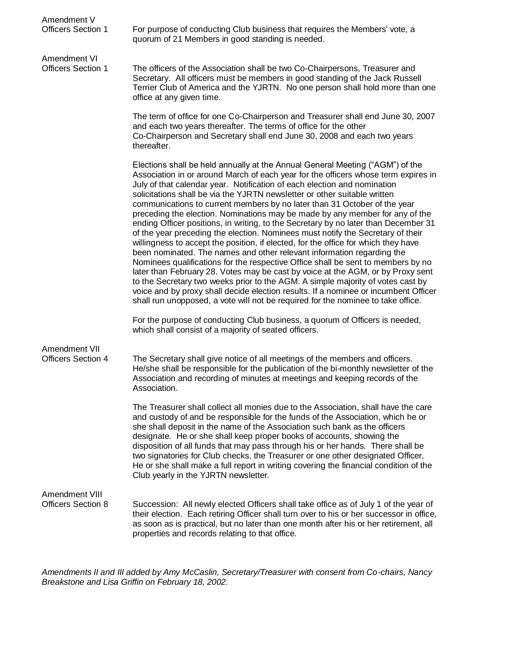| Amendment V<br><b>Officers Section 1</b>    | For purpose of conducting Club business that requires the Members' vote, a<br>quorum of 21 Members in good standing is needed.                                                                                                                                                                                                                                                                                                                                                                                                                                                                                                                                                                                                                                                                                                                                                                                                                                                                                                                                                                                                                                                                                                                                                                                                                                                                                    |
|---------------------------------------------|-------------------------------------------------------------------------------------------------------------------------------------------------------------------------------------------------------------------------------------------------------------------------------------------------------------------------------------------------------------------------------------------------------------------------------------------------------------------------------------------------------------------------------------------------------------------------------------------------------------------------------------------------------------------------------------------------------------------------------------------------------------------------------------------------------------------------------------------------------------------------------------------------------------------------------------------------------------------------------------------------------------------------------------------------------------------------------------------------------------------------------------------------------------------------------------------------------------------------------------------------------------------------------------------------------------------------------------------------------------------------------------------------------------------|
| Amendment VI<br><b>Officers Section 1</b>   | The officers of the Association shall be two Co-Chairpersons, Treasurer and<br>Secretary. All officers must be members in good standing of the Jack Russell<br>Terrier Club of America and the YJRTN. No one person shall hold more than one<br>office at any given time.                                                                                                                                                                                                                                                                                                                                                                                                                                                                                                                                                                                                                                                                                                                                                                                                                                                                                                                                                                                                                                                                                                                                         |
|                                             | The term of office for one Co-Chairperson and Treasurer shall end June 30, 2007<br>and each two years thereafter. The terms of office for the other<br>Co-Chairperson and Secretary shall end June 30, 2008 and each two years<br>thereafter.                                                                                                                                                                                                                                                                                                                                                                                                                                                                                                                                                                                                                                                                                                                                                                                                                                                                                                                                                                                                                                                                                                                                                                     |
|                                             | Elections shall be held annually at the Annual General Meeting ("AGM") of the<br>Association in or around March of each year for the officers whose term expires in<br>July of that calendar year. Notification of each election and nomination<br>solicitations shall be via the YJRTN newsletter or other suitable written<br>communications to current members by no later than 31 October of the year<br>preceding the election. Nominations may be made by any member for any of the<br>ending Officer positions, in writing, to the Secretary by no later than December 31<br>of the year preceding the election. Nominees must notify the Secretary of their<br>willingness to accept the position, if elected, for the office for which they have<br>been nominated. The names and other relevant information regarding the<br>Nominees qualifications for the respective Office shall be sent to members by no<br>later than February 28. Votes may be cast by voice at the AGM, or by Proxy sent<br>to the Secretary two weeks prior to the AGM. A simple majority of votes cast by<br>voice and by proxy shall decide election results. If a nominee or incumbent Officer<br>shall run unopposed, a vote will not be required for the nominee to take office.<br>For the purpose of conducting Club business, a quorum of Officers is needed,<br>which shall consist of a majority of seated officers. |
| Amendment VII<br><b>Officers Section 4</b>  | The Secretary shall give notice of all meetings of the members and officers.<br>He/she shall be responsible for the publication of the bi-monthly newsletter of the<br>Association and recording of minutes at meetings and keeping records of the<br>Association.                                                                                                                                                                                                                                                                                                                                                                                                                                                                                                                                                                                                                                                                                                                                                                                                                                                                                                                                                                                                                                                                                                                                                |
|                                             | The Treasurer shall collect all monies due to the Association, shall have the care<br>and custody of and be responsible for the funds of the Association, which he or<br>she shall deposit in the name of the Association such bank as the officers<br>designate. He or she shall keep proper books of accounts, showing the<br>disposition of all funds that may pass through his or her hands. There shall be<br>two signatories for Club checks, the Treasurer or one other designated Officer.<br>He or she shall make a full report in writing covering the financial condition of the<br>Club yearly in the YJRTN newsletter.                                                                                                                                                                                                                                                                                                                                                                                                                                                                                                                                                                                                                                                                                                                                                                               |
| Amendment VIII<br><b>Officers Section 8</b> | Succession: All newly elected Officers shall take office as of July 1 of the year of<br>their election. Each retiring Officer shall turn over to his or her successor in office,<br>as soon as is practical, but no later than one month after his or her retirement, all<br>properties and records relating to that office.                                                                                                                                                                                                                                                                                                                                                                                                                                                                                                                                                                                                                                                                                                                                                                                                                                                                                                                                                                                                                                                                                      |

*Amendments II and III added by Amy McCaslin, Secretary/Treasurer with consent from Co-chairs, Nancy Breakstone and Lisa Griffin on February 18, 2002.*